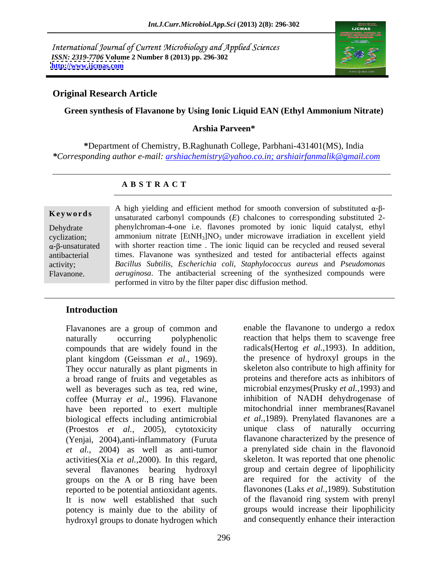International Journal of Current Microbiology and Applied Sciences *ISSN: 2319-7706* **Volume 2 Number 8 (2013) pp. 296-302 <http://www.ijcmas.com>**



## **Original Research Article**

### **Green synthesis of Flavanone by Using Ionic Liquid EAN (Ethyl Ammonium Nitrate)**

## **Arshia Parveen\***

**\***Department of Chemistry, B.Raghunath College, Parbhani-431401(MS), India *\*Corresponding author e-mail: arshiachemistry@yahoo.co.in; arshiairfanmalik@gmail.com*

## **A B S T R A C T**

**Keywords** In the *instructed* carbonyl compounds (*E*) chalcones to corresponding substituted 2-Dehydrate phenylchroman-4-one i.e. flavones promoted by ionic liquid catalyst, ethyl cyclization; a ammonium nitrate  $[EtNH_3]NO_3$  under microwave irradiation in excellent yield  $\alpha$ - $\beta$ -unsaturated with shorter reaction time . The ionic liquid can be recycled and reused several antibacterial times. Flavanone was synthesized and tested for antibacterial effects against activity; *Bacillus Subtilis, Escherichia coli*, *Staphylococcus aureus* and *Pseudomonas*  Flavanone. *aeruginosa*. The antibacterial screening of the synthesized compounds were A high yielding and efficient method for smooth conversion of substituted  $\alpha$ - $\beta$ ammonium nitrate  $[EtNH<sub>3</sub>]NO<sub>3</sub>$  under microwave irradiation in excellent yield performed in vitro by the filter paper disc diffusion method.

## **Introduction**

Flavanones are a group of common and compounds that are widely found in the plant kingdom (Geissman *et al.,* 1969). They occur naturally as plant pigments in a broad range of fruits and vegetables as well as beverages such as tea, red wine, coffee (Murray *et al*., 1996). Flavanone have been reported to exert multiple biological effects including antimicrobial (Yenjai, 2004),anti-inflammatory (Furuta *et al.,* 2004) as well as anti-tumor activities(Xia *et al.,*2000). In this regard, several flavanones bearing hydroxyl groups on the A or B ring have been reported to be potential antioxidant agents. Il all all flavonones (Laks *et al.*, 1989). Substitution<br>It is now well established that such of the flavanoid ring system with prenyl It is now well established that such potency is mainly due to the ability of hydroxyl groups to donate hydrogen which

naturally occurring polyphenolic reaction that helps them to scavenge free (Proestos *et al.,* 2005), cytotoxicity unique class of naturally occurring enable the flavanone to undergo a redox radicals(Hertog *et al.,*1993). In addition, the presence of hydroxyl groups in the skeleton also contribute to high affinity for proteins and therefore acts as inhibitors of microbial enzymes(Prusky *et al.,*1993) and inhibition of NADH dehydrogenase of mitochondrial inner membranes(Ravanel *et al.,*1989). Prenylated flavanones are a flavanone characterized by the presence of a prenylated side chain in the flavonoid skeleton. It was reported that one phenolic group and certain degree of lipophilicity are required for the activity of the flavonones (Laks *et al.,*1989). Substitution of the flavanoid ring system with prenyl groups would increase their lipophilicity and consequently enhance their interaction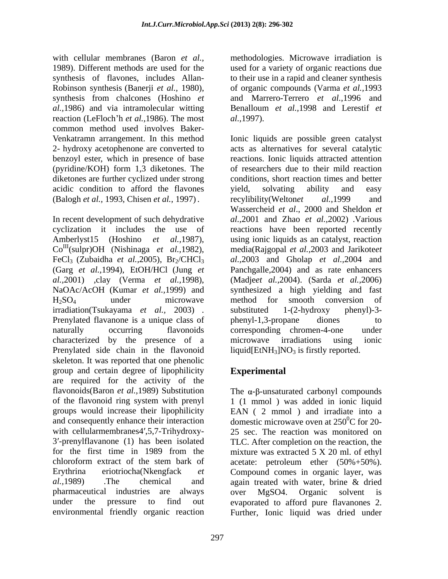with cellular membranes (Baron *et al.,* methodologies. Microwave irradiation is 1989). Different methods are used for the used for a variety of organic reactions due synthesis of flavones, includes Allan- to their use in a rapid and cleaner synthesis Robinson synthesis (Banerji *et al.,* 1980), of organic compounds (Varma *et al.,*1993 synthesis from chalcones (Hoshino *et al.,*1986) and via intramolecular witting Benalloum *et al.,*1998 and Lerestif *et*  reaction (LeFloch h *et al.,*1986). The most common method used involves Baker- (pyridine/KOH) form 1,3 diketones. The diketones are further cyclized under strong acidic condition to afford the flavones vield, solvating ability and easy

characterized by the presence of a Prenylated side chain in the flavonoid skeleton. It was reported that one phenolic group and certain degree of lipophilicity are required for the activity of the flavonoids(Baron *et al.*, 1989) Substitution The  $\alpha$ - $\beta$ -unsaturated carbonyl compounds of the flavonoid ring system with prenyl 1 (1 mmol ) was added in ionic liquid groups would increase their lipophilicity EAN ( 2 mmol ) and irradiate into a and consequently enhance their interaction domestic microwave oven at  $250^{\circ}$ C for 20with cellularmembranes4',5,7-Trihydroxy- 25 sec. The reaction was monitored on 3 -prenylflavanone (1) has been isolated TLC. After completion on the reaction, the for the first time in 1989 from the mixture was extracted 5 X 20 ml. of ethyl chloroform extract of the stem bark of acetate: petroleum ether (50%+50%). Erythrina eriotriocha(Nkengfack *et*  Compound comes in organic layer, was *al.,*1989) .The chemical and again treated with water, brine & dried pharmaceutical industries are always under the pressure to find out evaporated to afford pure flavanones 2. environmental friendly organic reaction Further, Ionic liquid was dried under

297

and Marrero-Terrero *et al.,*1996 and *al.,*1997).

Venkatramn arrangement. In this method Ionic liquids are possible green catalyst 2- hydroxy acetophenone are converted to acts as alternatives for several catalytic benzoyl ester, which in presence of base reactions. Ionic liquids attracted attention (Balogh *et al.,* 1993, Chisen *et al.,* 1997). In recent development of such dehydrative *al.*, 2001 and Zhao *et al.*, 2002) Various *al.,* 2002 and Sheldon *et* cyclization it includes the use of reactions have been reported recently Amberlyst15 (Hoshino *et al.,*1987), using ionic liquids as an catalyst, reaction Co<sup>III</sup>(sulpr)OH (Nishinaga *et al.,*1982), media(Rajgopal *et al.,*2003 and Jarikoteet FeCl<sub>3</sub> (Zubaidha *et al.,*2005), Br<sub>2</sub>/CHCl<sub>3</sub> al.,2003 and Gholap *et al.,*2004 and (Garg *et al.,*1994), EtOH/HCl (Jung *et*  Panchgalle,2004) and as rate enhancers *al.,*2001) ,clay (Verma *et al.,*1998), (Madje*et al.,*2004). (Sarda *et al.,*2006) NaOAc/AcOH (Kumar *et al.,*1999) and synthesized a high yielding and fast H2SO4 under microwave method for smooth conversion of irradiation(Tsukayama *et al.*, 2003) . substituted 1-(2-hydroxy phenyl)-3-<br>Prenylated flavanone is a unique class of phenyl-1,3-propane diones to naturally occurring flavonoids corresponding chromen-4-one under of researchers due to their mild reaction conditions, short reaction times and better yield, solvating ability and easy recylibility(Welton*et al.,*1999 and Wassercheid *et al*., 2000 and Sheldon *et al.,*2001 and Zhao *et al.,*2002) .Various substituted 1-(2-hydroxy phenyl)-3 phenyl-1,3-propane diones to microwave irradiations using ionic liquid[EtNH<sub>3</sub>]NO<sub>3</sub> is firstly reported.

## **Experimental**

over MgSO4. Organic solvent is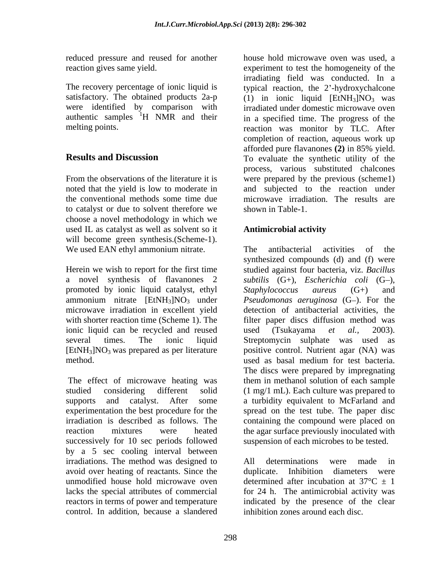reduced pressure and reused for another

to catalyst or due to solvent therefore we choose a novel methodology in which we used IL as catalyst as well as solvent so it **Antimicrobial activity** will become green synthesis.(Scheme-1). We used EAN ethyl ammonium nitrate. The antibacterial activities of the

a novel synthesis of flavanones 2 *subtilis*  $(G<sub>+</sub>)$ , *Escherichia coli*  $(G<sub>-</sub>)$ , promoted by ionic liquid catalyst, ethyl Staphylococcus aureus (G+) and ionic liquid can be recycled and reused used (Tsukayama et al., 2003).

studied considering different solid (1 mg/1 mL). Each culture was prepared to supports and catalyst. After some a turbidity equivalent to McFarland and experimentation the best procedure for the spread on the test tube. The paper disc irradiation is described as follows. The containing the compound were placed on reaction mixtures were heated the agar surface previously inoculated with successively for 10 sec periods followed by a 5 sec cooling interval between irradiations. The method was designed to All determinations were made in avoid over heating of reactants. Since the unmodified house hold microwave oven determined after incubation at  $37^{\circ}C \pm 1$ lacks the special attributes of commercial for 24 h. The antimicrobial activity was reactors in terms of power and temperature indicated by the presence of the clear control. In addition, because a slandered

reaction gives same yield. experiment to test the homogeneity of the The recovery percentage of ionic liquid is typical reaction, the 2'-hydroxychalcone satisfactory. The obtained products  $2a-p$  (1) in ionic liquid  $[EtNH<sub>3</sub>]NO<sub>3</sub>$  was were identified by comparison with irradiated under domestic microwave oven authentic samples  $\mathrm{H}$  NMR and their in a specified time. The progress of the melting points. The reaction was monitor by TLC. After **Results and Discussion** To evaluate the synthetic utility of the From the observations of the literature it is were prepared by the previous (scheme1) noted that the yield is low to moderate in and subjected to the reaction under the conventional methods some time due microwave irradiation. The results are house hold microwave oven was used, a irradiating field was conducted. In a completion of reaction, aqueous work up afforded pure flavanones **(2)** in 85% yield. process, various substituted chalcones shown in Table-1.

## **Antimicrobial activity**

Herein we wish to report for the first time studied against four bacteria, viz. *Bacillus*  ammonium nitrate [EtNH<sub>3</sub>]NO<sub>3</sub> under *Pseudomonas aeruginosa* (G–). For the microwave irradiation in excellent yield detection of antibacterial activities, the with shorter reaction time (Scheme 1). The filter paper discs diffusion method was several times. The ionic liquid Streptomycin sulphate was used as [EtNH3]NO3 was prepared as per literature positive control. Nutrient agar (NA) was method. used as basal medium for test bacteria. The effect of microwave heating was them in methanol solution of each sample The antibacterial activities of the synthesized compounds (d) and (f) were *subtilis* (G+), *Escherichia coli* (G–), *Staphylococcus aureus* (G+) and detection of antibacterial activities, the filter paper discs diffusion method was used (Tsukayama *et al.,* 2003). The discs were prepared by impregnating suspension of each microbes to be tested.

> All determinations were made in duplicate. Inhibition diameters were inhibition zones around each disc.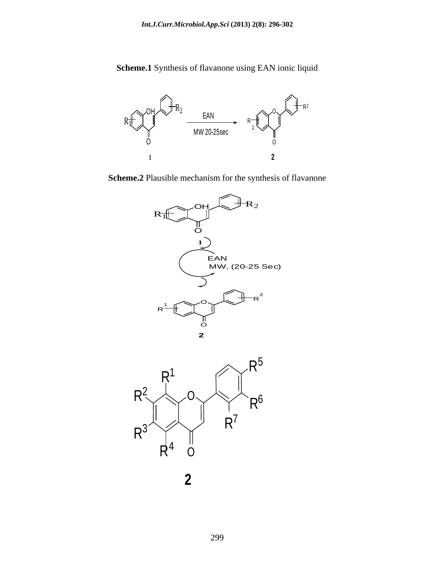**Scheme.1** Synthesis of flavanone using EAN ionic liquid



**Scheme.2** Plausible mechanism for the synthesis of flavanone





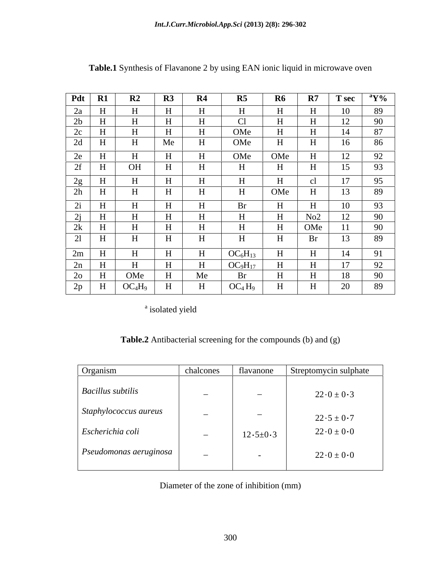| $Pdt$ R1                                |                                               |    | $\mathbf{R4}$ |                                                                                           | $\mathbf{R}$ 7 | $\vert$ T sec $\vert$                        |
|-----------------------------------------|-----------------------------------------------|----|---------------|-------------------------------------------------------------------------------------------|----------------|----------------------------------------------|
| 2a                                      |                                               |    |               |                                                                                           |                | $10^{-7}$                                    |
| 2b                                      |                                               |    | T             | U.                                                                                        |                | 12 <sub>1</sub><br>90<br>$\perp$             |
| 2c                                      |                                               |    |               | OMe                                                                                       |                | Q <sub>7</sub>                               |
| 2d                                      |                                               | Me |               | OMe                                                                                       |                | 16<br>86                                     |
| $\angle$ C                              |                                               |    |               | OMe                                                                                       |                | $\sqrt{12}$<br>ററ                            |
|                                         | OH                                            |    |               |                                                                                           |                | 1 <sub>E</sub><br>12 <sub>1</sub>            |
|                                         |                                               |    |               |                                                                                           |                | 17                                           |
|                                         |                                               |    |               |                                                                                           |                | 89<br>1J                                     |
| $\bigcap$ :                             |                                               |    | $\mathbf{H}$  |                                                                                           |                | 10<br>$\Omega$                               |
| $\angle 1$<br>$\mathbf{A}$ $\mathbf{A}$ |                                               |    | T             | H                                                                                         | No2            | $10^{\circ}$<br>90<br>$1^{\circ}$<br>$\perp$ |
| 2k<br>$\mathbf{\Pi}$                    |                                               |    |               |                                                                                           |                | 90                                           |
| $\angle 1$<br>$\mathbf{H}$              |                                               |    | $\mathbf{r}$  |                                                                                           |                |                                              |
| 2m                                      |                                               |    | $\mathbf{u}$  | $OC_6H_{13}$                                                                              |                |                                              |
| $\angle \Pi$                            |                                               |    |               |                                                                                           |                |                                              |
| $2o$ H                                  | OMe                                           |    | Me            |                                                                                           |                | 18                                           |
|                                         | $2p$   H   OC <sub>4</sub> H <sub>9</sub>   H |    | $\parallel$ H | $\begin{array}{ c c c c c } \hline \text{OC}_4\text{H}_9 & \text{H} \\\hline \end{array}$ | $\parallel$ H  | 20<br>89                                     |

**Table.1** Synthesis of Flavanone 2 by using EAN ionic liquid in microwave oven

 $\frac{1}{2}$  and  $\frac{1}{2}$  and  $\frac{1}{2}$  and  $\frac{1}{2}$  and  $\frac{1}{2}$  and  $\frac{1}{2}$  and  $\frac{1}{2}$  and  $\frac{1}{2}$  and  $\frac{1}{2}$  and  $\frac{1}{2}$  and  $\frac{1}{2}$  and  $\frac{1}{2}$  and  $\frac{1}{2}$  and  $\frac{1}{2}$  and  $\frac{1}{2}$  and  $\frac{1}{2}$  a isolated yield

**Table.2** Antibacterial screening for the compounds (b) and (g)

| Organism                             | chalcones                | flavanone                | Streptomycin sulphate |
|--------------------------------------|--------------------------|--------------------------|-----------------------|
| <b>Bacillus</b> subtilis             | $\overline{\phantom{0}}$ | $\overline{\phantom{a}}$ | $22 \t0 \pm 0 \t3$    |
| Staphylococcus aureus                | $\overline{\phantom{0}}$ | $\overline{\phantom{0}}$ | $22.5 \pm 0.7$        |
| Escherichia coli                     | $\overline{\phantom{0}}$ | $12 \t5 \pm 0 \t3$       | $22 \t0 \pm 0 \t0$    |
| $\varepsilon$ Pseudomonas aeruginosa | $\overline{\phantom{0}}$ |                          | $22 \t0 \pm 0 \t0$    |

Diameter of the zone of inhibition (mm)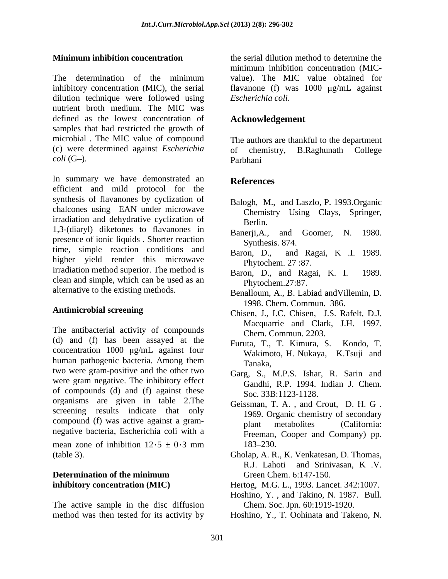The determination of the minimum value). The MIC value obtained for inhibitory concentration (MIC), the serial flavanone (f) was  $1000 \mu g/mL$  against dilution technique were followed using nutrient broth medium. The MIC was defined as the lowest concentration of samples that had restricted the growth of microbial . The MIC value of compound (c) were determined against *Escherichia coli* (G–). Parbhani

In summary we have demonstrated an **References** efficient and mild protocol for the synthesis of flavanones by cyclization of chalcones using EAN under microwave irradiation and dehydrative cyclization of Berlin. 1,3-(diaryl) diketones to flavanones in Banerji, A, and Goomer, N. 1980. presence of ionic liquids . Shorter reaction time, simple reaction conditions and Baron, D., and Ragai, K .I. 1989. higher yield render this microwave irradiation method superior. The method is Baron, D., and Ragai, K. I. 1989. clean and simple, which can be used as an alternative to the existing methods.

(d) and (f) has been assayed at the concentration  $1000 \mu g/mL$  against four human pathogenic bacteria. Among them Tanaka, two were gram-positive and the other two<br>Garg, S., M.P.S. Ishar, R. Sarin and were gram negative. The inhibitory effect<br>
Gandhi, R.P. 1994. Indian J. Chem. of compounds (d) and (f) against these organisms are given in table 2.The screening results indicate that only compound (f) was active against a gram-<br>plant metabolites (California: negative bacteria, Escherichia coli with a

mean zone of inhibition  $12 \cdot 5 \pm 0 \cdot 3$  mm  $183-230$ . (table 3). Gholap, A. R., K. Venkatesan, D. Thomas,

# **Determination of the minimum**

The active sample in the disc diffusion method was then tested for its activity by Hoshino, Y., T. Oohinata and Takeno, N.

**Minimum inhibition concentration** the serial dilution method to determine the minimum inhibition concentration (MIC value). The MIC value obtained for *Escherichia coli*.

## **Acknowledgement**

The authors are thankful to the department chemistry, B.Raghunath College Parbhani

## **References**

- Balogh, M., and Laszlo, P. 1993.Organic Chemistry Using Clays, Springer, Berlin.
- Banerji, A., and Goomer, N. Synthesis. 874.
- Baron, D., and Ragai, K .I. 1989. Phytochem. 27 :87.
- Baron, D., and Ragai, K. I. Phytochem.27:87.
- Benalloum, A., B. Labiad andVillemin, D. 1998. Chem. Commun. 386.
- Antimicrobial screening<br>
Chisen, J., I.C. Chisen, J.S. Rafelt, D.J. The antibacterial activity of compounds<br>
The antibacterial activity of compounds<br>
Cham Commun 2203 Chisen, J., I.C. Chisen, J.S. Rafelt, D.J. Macquarrie and Clark, J.H. 1997. Chem. Commun. 2203.
	- Furuta, T., T. Kimura, S. Kondo, T. Wakimoto, H. Nukaya, K.Tsuji and
	- Garg, S., M.P.S. Ishar, R. Sarin and Gandhi, R.P. 1994. Indian J. Chem. Soc. 33B:1123-1128.
	- Geissman, T. A. , and Crout, D. H. G . 1969. Organic chemistry of secondary plant metabolites (California: Freeman, Cooper and Company) pp. 183–230.
	- Gholap, A. R., K. Venkatesan, D. Thomas, R.J. Lahoti and Srinivasan, <sup>K</sup> .V. Green Chem. 6:147-150.
- **inhibitory concentration (MIC)**  Hertog, M.G. L., 1993. Lancet. 342:1007.
	- Hoshino, Y. , and Takino, N. 1987. Bull. Chem. Soc. Jpn. 60:1919-1920.
	-